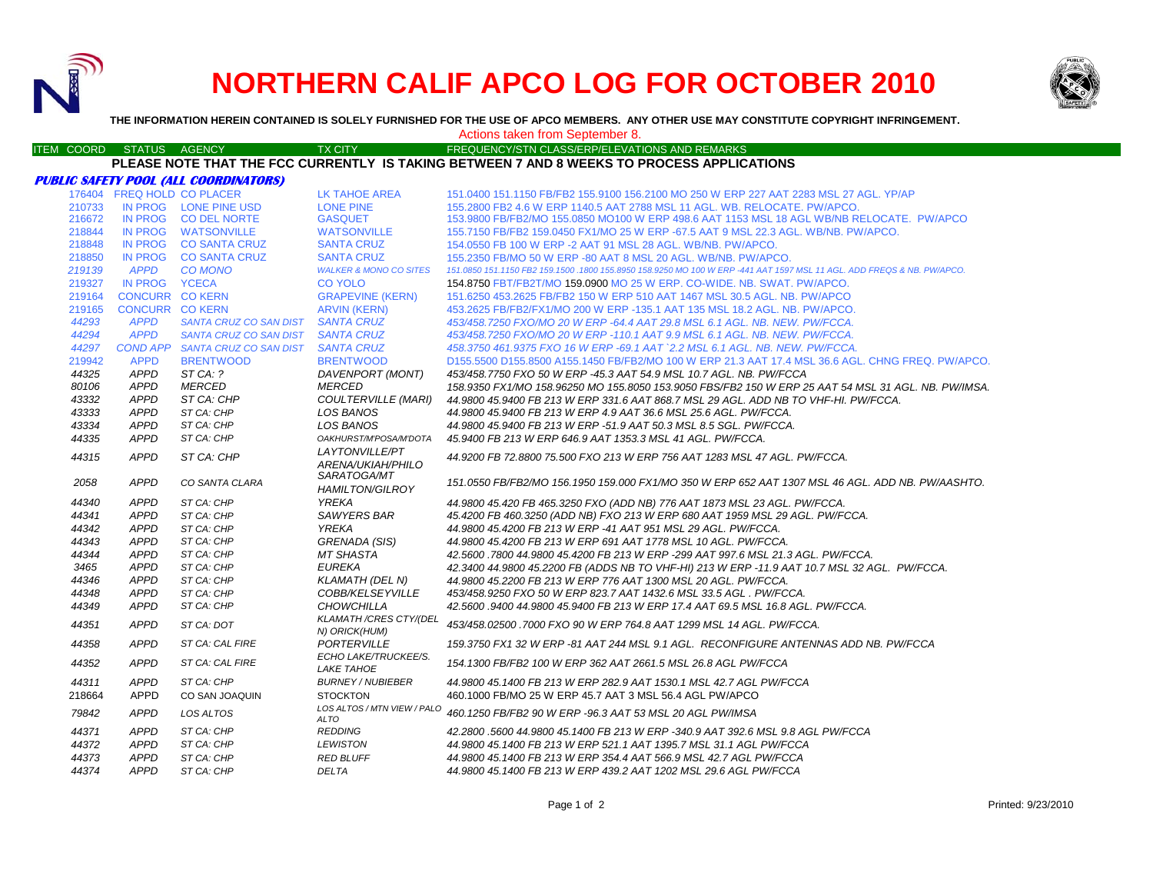

# **NORTHERN CALIF APCO LOG FOR OCTOBER 2010**



**THE INFORMATION HEREIN CONTAINED IS SOLELY FURNISHED FOR THE USE OF APCO MEMBERS. ANY OTHER USE MAY CONSTITUTE COPYRIGHT INFRINGEMENT.**

|                   |                            |                                            |                                               | Actions taken from September 8.                                                                                        |
|-------------------|----------------------------|--------------------------------------------|-----------------------------------------------|------------------------------------------------------------------------------------------------------------------------|
| <b>ITEM COORD</b> | STATUS AGENCY              |                                            | <b>TX CITY</b>                                | FREQUENCY/STN CLASS/ERP/ELEVATIONS AND REMARKS                                                                         |
|                   |                            |                                            |                                               | PLEASE NOTE THAT THE FCC CURRENTLY IS TAKING BETWEEN 7 AND 8 WEEKS TO PROCESS APPLICATIONS                             |
|                   |                            | PUBLIC SAFETY POOL (ALL COORDINATORS)      |                                               |                                                                                                                        |
|                   | 176404 FREQ HOLD CO PLACER |                                            | LK TAHOE AREA                                 | 151.0400 151.1150 FB/FB2 155.9100 156.2100 MO 250 W ERP 227 AAT 2283 MSL 27 AGL. YP/AP                                 |
| 210733            |                            | IN PROG LONE PINE USD                      | <b>LONE PINE</b>                              | 155.2800 FB2 4.6 W ERP 1140.5 AAT 2788 MSL 11 AGL. WB. RELOCATE. PW/APCO.                                              |
| 216672            |                            | IN PROG CO DEL NORTE                       | <b>GASQUET</b>                                | 153,9800 FB/FB2/MO 155,0850 MO100 W ERP 498.6 AAT 1153 MSL 18 AGL WB/NB RELOCATE. PW/APCO                              |
| 218844            |                            | IN PROG WATSONVILLE                        | <b>WATSONVILLE</b>                            | 155.7150 FB/FB2 159.0450 FX1/MO 25 W ERP -67.5 AAT 9 MSL 22.3 AGL, WB/NB, PW/APCO,                                     |
| 218848            |                            | IN PROG CO SANTA CRUZ                      | <b>SANTA CRUZ</b>                             | 154,0550 FB 100 W ERP -2 AAT 91 MSL 28 AGL, WB/NB, PW/APCO,                                                            |
| 218850            |                            | IN PROG CO SANTA CRUZ                      | <b>SANTA CRUZ</b>                             | 155,2350 FB/MO 50 W ERP -80 AAT 8 MSL 20 AGL, WB/NB, PW/APCO,                                                          |
| 219139            | <b>APPD</b>                | <b>CO MONO</b>                             | <b>WALKER &amp; MONO CO SITES</b>             | 151.0850 151.1150 FB2 159.1500 .1800 155.8950 158.9250 MO 100 W ERP -441 AAT 1597 MSL 11 AGL. ADD FREQS & NB. PW/APCO. |
| 219327            | IN PROG YCECA              |                                            | <b>CO YOLO</b>                                | 154.8750 FBT/FB2T/MO 159.0900 MO 25 W ERP. CO-WIDE. NB. SWAT. PW/APCO.                                                 |
| 219164            | <b>CONCURR CO KERN</b>     |                                            | <b>GRAPEVINE (KERN)</b>                       | 151.6250 453.2625 FB/FB2 150 W ERP 510 AAT 1467 MSL 30.5 AGL, NB, PW/APCO                                              |
| 219165            | <b>CONCURR CO KERN</b>     |                                            | <b>ARVIN (KERN)</b>                           | 453.2625 FB/FB2/FX1/MO 200 W ERP -135.1 AAT 135 MSL 18.2 AGL. NB. PW/APCO.                                             |
| 44293             | <b>APPD</b>                | SANTA CRUZ CO SAN DIST SANTA CRUZ          |                                               | 453/458.7250 FXO/MO 20 W ERP -64.4 AAT 29.8 MSL 6.1 AGL. NB. NEW. PW/FCCA.                                             |
| 44294             | <b>APPD</b>                | SANTA CRUZ CO SAN DIST SANTA CRUZ          |                                               | 453/458.7250 FXO/MO 20 W ERP -110.1 AAT 9.9 MSL 6.1 AGL. NB. NEW. PW/FCCA.                                             |
| 44297             |                            | COND APP SANTA CRUZ CO SAN DIST SANTA CRUZ |                                               | 458.3750 461.9375 FXO 16 W ERP -69.1 AAT `2.2 MSL 6.1 AGL. NB. NEW. PW/FCCA.                                           |
| 219942            | <b>APPD</b>                | <b>BRENTWOOD</b>                           | <b>BRENTWOOD</b>                              | D155.5500 D155.8500 A155.1450 FB/FB2/MO 100 W ERP 21.3 AAT 17.4 MSL 36.6 AGL. CHNG FREQ. PW/APCO.                      |
| 44325             | <b>APPD</b>                | ST CA: ?                                   | DAVENPORT (MONT)                              | 453/458.7750 FXO 50 W ERP -45.3 AAT 54.9 MSL 10.7 AGL. NB. PW/FCCA                                                     |
| 80106             | <b>APPD</b>                | MERCED                                     | <b>MERCED</b>                                 | 158.9350 FX1/MO 158.96250 MO 155.8050 153.9050 FBS/FB2 150 W ERP 25 AAT 54 MSL 31 AGL. NB. PW/IMSA.                    |
| 43332             | APPD                       | ST CA: CHP                                 | <b>COULTERVILLE (MARI)</b>                    | 44.9800 45.9400 FB 213 W ERP 331.6 AAT 868.7 MSL 29 AGL. ADD NB TO VHF-HI. PW/FCCA.                                    |
| 43333             | <b>APPD</b>                | ST CA: CHP                                 | <b>LOS BANOS</b>                              | 44.9800 45.9400 FB 213 W ERP 4.9 AAT 36.6 MSL 25.6 AGL, PW/FCCA.                                                       |
| 43334             | <b>APPD</b>                | ST CA: CHP                                 | <b>LOS BANOS</b>                              | 44.9800 45.9400 FB 213 W ERP -51.9 AAT 50.3 MSL 8.5 SGL, PW/FCCA.                                                      |
| 44335             | <b>APPD</b>                | ST CA: CHP                                 | OAKHURST/M'POSA/M'DOTA                        | 45.9400 FB 213 W ERP 646.9 AAT 1353.3 MSL 41 AGL. PW/FCCA.                                                             |
|                   |                            |                                            | LAYTONVILLE/PT                                |                                                                                                                        |
| 44315             | <b>APPD</b>                | ST CA: CHP                                 | ARENA/UKIAH/PHILO                             | 44.9200 FB 72.8800 75.500 FXO 213 W ERP 756 AAT 1283 MSL 47 AGL. PW/FCCA.                                              |
|                   |                            |                                            | SARATOGA/MT                                   |                                                                                                                        |
| 2058              | <b>APPD</b>                | CO SANTA CLARA                             | <b>HAMILTON/GILROY</b>                        | 151.0550 FB/FB2/MO 156.1950 159.000 FX1/MO 350 W ERP 652 AAT 1307 MSL 46 AGL. ADD NB. PW/AASHTO.                       |
| 44340             | <b>APPD</b>                | ST CA: CHP                                 | <b>YREKA</b>                                  | 44.9800 45.420 FB 465.3250 FXO (ADD NB) 776 AAT 1873 MSL 23 AGL. PW/FCCA.                                              |
| 44341             | <b>APPD</b>                | ST CA: CHP                                 | <b>SAWYERS BAR</b>                            | 45.4200 FB 460.3250 (ADD NB) FXO 213 W ERP 680 AAT 1959 MSL 29 AGL. PW/FCCA.                                           |
| 44342             | <b>APPD</b>                | ST CA: CHP                                 | <b>YREKA</b>                                  | 44.9800 45.4200 FB 213 W ERP -41 AAT 951 MSL 29 AGL. PW/FCCA.                                                          |
| 44343             | <b>APPD</b>                | ST CA: CHP                                 | GRENADA (SIS)                                 | 44.9800 45.4200 FB 213 W ERP 691 AAT 1778 MSL 10 AGL. PW/FCCA.                                                         |
| 44344             | <b>APPD</b>                | ST CA: CHP                                 | <b>MT SHASTA</b>                              | 42.5600 .7800 44.9800 45.4200 FB 213 W ERP -299 AAT 997.6 MSL 21.3 AGL. PW/FCCA.                                       |
| 3465              | <b>APPD</b>                | ST CA: CHP                                 | <b>EUREKA</b>                                 | 42.3400 44.9800 45.2200 FB (ADDS NB TO VHF-HI) 213 W ERP -11.9 AAT 10.7 MSL 32 AGL. PW/FCCA.                           |
| 44346             | <b>APPD</b>                | ST CA: CHP                                 | <b>KLAMATH (DEL N)</b>                        | 44.9800 45.2200 FB 213 W ERP 776 AAT 1300 MSL 20 AGL. PW/FCCA.                                                         |
| 44348             | <b>APPD</b>                | ST CA: CHP                                 | COBB/KELSEYVILLE                              | 453/458.9250 FXO 50 W ERP 823.7 AAT 1432.6 MSL 33.5 AGL . PW/FCCA.                                                     |
| 44349             | <b>APPD</b>                | ST CA: CHP                                 | <b>CHOWCHILLA</b>                             | 42.5600.9400 44.9800 45.9400 FB 213 W ERP 17.4 AAT 69.5 MSL 16.8 AGL. PW/FCCA.                                         |
| 44351             | <b>APPD</b>                | ST CA: DOT                                 | <b>KLAMATH/CRES CTY/(DEL</b><br>N) ORICK(HUM) | 453/458.02500,7000 FXO 90 W ERP 764.8 AAT 1299 MSL 14 AGL, PW/FCCA.                                                    |
| 44358             | <b>APPD</b>                | ST CA: CAL FIRE                            | <b>PORTERVILLE</b>                            | 159.3750 FX1 32 W ERP -81 AAT 244 MSL 9.1 AGL. RECONFIGURE ANTENNAS ADD NB. PW/FCCA                                    |
| 44352             | <b>APPD</b>                | ST CA: CAL FIRE                            | ECHO LAKE/TRUCKEE/S.<br><b>LAKE TAHOE</b>     | 154.1300 FB/FB2 100 W ERP 362 AAT 2661.5 MSL 26.8 AGL PW/FCCA                                                          |
| 44311             | <b>APPD</b>                | ST CA: CHP                                 | <b>BURNEY / NUBIEBER</b>                      | 44.9800 45.1400 FB 213 W ERP 282.9 AAT 1530.1 MSL 42.7 AGL PW/FCCA                                                     |
| 218664            | <b>APPD</b>                | CO SAN JOAQUIN                             | <b>STOCKTON</b>                               | 460,1000 FB/MO 25 W ERP 45.7 AAT 3 MSL 56.4 AGL PW/APCO                                                                |
| 79842             | <b>APPD</b>                | LOS ALTOS                                  | LOS ALTOS / MTN VIEW / PALO<br>ALTO           | 460.1250 FB/FB2 90 W ERP -96.3 AAT 53 MSL 20 AGL PW/IMSA                                                               |
| 44371             | <b>APPD</b>                | ST CA: CHP                                 | <b>REDDING</b>                                | 42.2800 .5600 44.9800 45.1400 FB 213 W ERP -340.9 AAT 392.6 MSL 9.8 AGL PW/FCCA                                        |
| 44372             | <b>APPD</b>                | ST CA: CHP                                 | <b>LEWISTON</b>                               | 44.9800 45.1400 FB 213 W ERP 521.1 AAT 1395.7 MSL 31.1 AGL PW/FCCA                                                     |
| 44373             | <b>APPD</b>                | ST CA: CHP                                 | <b>RED BLUFF</b>                              | 44.9800 45.1400 FB 213 W ERP 354.4 AAT 566.9 MSL 42.7 AGL PW/FCCA                                                      |
| 44374             | <b>APPD</b>                | ST CA: CHP                                 | <b>DELTA</b>                                  | 44.9800 45.1400 FB 213 W ERP 439.2 AAT 1202 MSL 29.6 AGL PW/FCCA                                                       |
|                   |                            |                                            |                                               |                                                                                                                        |